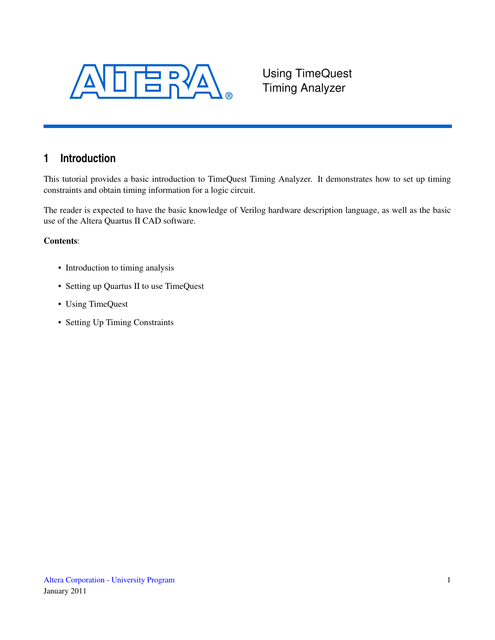

Using TimeQuest Timing Analyzer

# **1 Introduction**

This tutorial provides a basic introduction to TimeQuest Timing Analyzer. It demonstrates how to set up timing constraints and obtain timing information for a logic circuit.

The reader is expected to have the basic knowledge of Verilog hardware description language, as well as the basic use of the Altera Quartus II CAD software.

#### Contents:

- Introduction to timing analysis
- Setting up Quartus II to use TimeQuest
- Using TimeQuest
- Setting Up Timing Constraints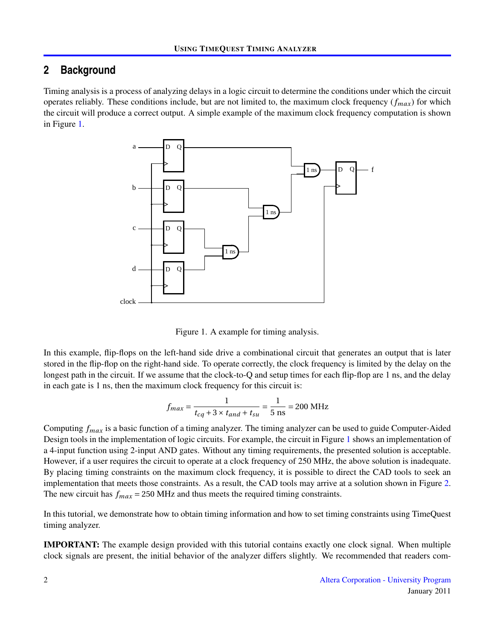### **2 Background**

Timing analysis is a process of analyzing delays in a logic circuit to determine the conditions under which the circuit operates reliably. These conditions include, but are not limited to, the maximum clock frequency  $(f_{max})$  for which the circuit will produce a correct output. A simple example of the maximum clock frequency computation is shown in Figure [1.](#page-1-0)



<span id="page-1-0"></span>Figure 1. A example for timing analysis.

longest path in the circuit. If we assume that the clock-to-Q and setup times for each flip-flop are 1 ns, and the delay 1 ns example, mp neps on the right-hand side. To operate correctly, the clock frequency is limited by the delay on the stored in the flip-flop on the right-hand side. To operate correctly, the clock frequency is limited by In this example, flip-flops on the left-hand side drive a combinational circuit that generates an output that is later in each gate is 1 ns, then the maximum clock frequency for this circuit is:

$$
f_{max} = \frac{1}{t_{cq} + 3 \times t_{and} + t_{su}} = \frac{1}{5 \text{ ns}} = 200 \text{ MHz}
$$

However, if a user requires the circuit to operate at a clock frequency of 250 MHz, the above solution is inadequate. The new circuit has  $f_{max}$  = 250 MHz and thus meets the required timing constraints. Design tools in the implementation of logic circuits. For example, the circuit in Figure [1](#page-1-0) shows an implementation of Computing *fmax* is a basic function of a timing analyzer. The timing analyzer can be used to guide Computer-Aided a 4-input function using 2-input AND gates. Without any timing requirements, the presented solution is acceptable. By placing timing constraints on the maximum clock frequency, it is possible to direct the CAD tools to seek an implementation that meets those constraints. As a result, the CAD tools may arrive at a solution shown in Figure [2.](#page-2-0)

In this tutorial, we demonstrate how to obtain timing information and how to set timing constraints using TimeQuest timing analyzer.

IMPORTANT: The example design provided with this tutorial contains exactly one clock signal. When multiple clock signals are present, the initial behavior of the analyzer differs slightly. We recommended that readers com-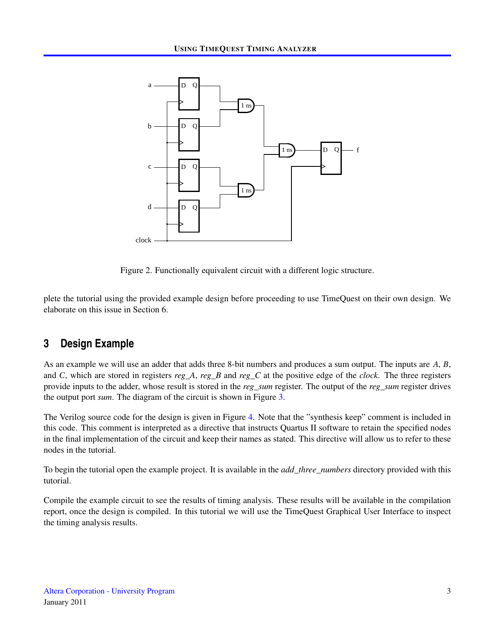

<span id="page-2-0"></span>Figure 2. Functionally equivalent circuit with a different logic structure.

plete the tutorial using the provided example design before proceeding to use TimeQuest on their own design. We elaborate on this issue in Section 6.

### **3 Design Example**

As an example we will use an adder that adds three 8-bit numbers and produces a sum output. The inputs are *A*, *B*, and *C*, which are stored in registers *reg\_A*, *reg\_B* and *reg\_C* at the positive edge of the *clock*. The three registers provide inputs to the adder, whose result is stored in the *reg\_sum* register. The output of the *reg\_sum* register drives the output port *sum*. The diagram of the circuit is shown in Figure [3.](#page-3-0)

The Verilog source code for the design is given in Figure [4.](#page-3-1) Note that the "synthesis keep" comment is included in this code. This comment is interpreted as a directive that instructs Quartus II software to retain the specified nodes in the final implementation of the circuit and keep their names as stated. This directive will allow us to refer to these nodes in the tutorial.

To begin the tutorial open the example project. It is available in the *add\_three\_numbers* directory provided with this tutorial.

Compile the example circuit to see the results of timing analysis. These results will be available in the compilation report, once the design is compiled. In this tutorial we will use the TimeQuest Graphical User Interface to inspect the timing analysis results.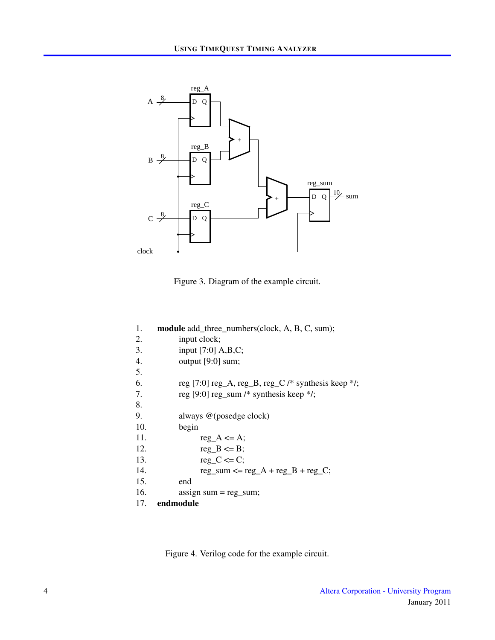

<span id="page-3-0"></span>Figure 3. Diagram of the example circuit.

| 1.  | <b>module</b> add_three_numbers(clock, A, B, C, sum); |
|-----|-------------------------------------------------------|
| 2.  | input clock;                                          |
| 3.  | input $[7:0]$ A,B,C;                                  |
| 4.  | output [9:0] sum;                                     |
| 5.  |                                                       |
| 6.  | reg [7:0] reg_A, reg_B, reg_C /* synthesis keep */;   |
| 7.  | reg [9:0] reg_sum /* synthesis keep */;               |
| 8.  |                                                       |
| 9.  | always @(posedge clock)                               |
| 10. | begin                                                 |
| 11. | $reg_A \leq A;$                                       |
| 12. | $reg_B \leq B$ ;                                      |
| 13. | $reg_C \leq C$ ;                                      |
| 14. | $reg\_sum \leq reg_A + reg_B + reg_C;$                |
| 15. | end                                                   |
| 16. | assign sum $=$ reg sum;                               |
| 17. | endmodule                                             |

<span id="page-3-1"></span>Figure 4. Verilog code for the example circuit.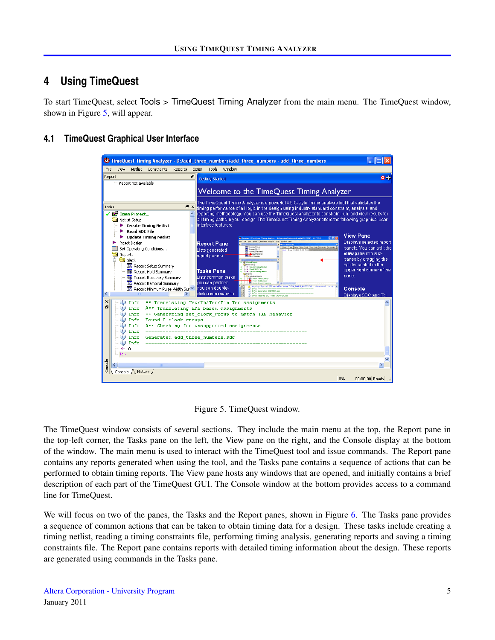## **4 Using TimeQuest**

To start TimeQuest, select Tools > TimeQuest Timing Analyzer from the main menu. The TimeQuest window, shown in Figure [5,](#page-4-0) will appear.

### **4.1 TimeQuest Graphical User Interface**



<span id="page-4-0"></span>Figure 5. TimeQuest window.

The TimeQuest window consists of several sections. They include the main menu at the top, the Report pane in the top-left corner, the Tasks pane on the left, the View pane on the right, and the Console display at the bottom of the window. The main menu is used to interact with the TimeQuest tool and issue commands. The Report pane contains any reports generated when using the tool, and the Tasks pane contains a sequence of actions that can be performed to obtain timing reports. The View pane hosts any windows that are opened, and initially contains a brief description of each part of the TimeQuest GUI. The Console window at the bottom provides access to a command line for TimeQuest.

We will focus on two of the panes, the Tasks and the Report panes, shown in Figure [6.](#page-5-0) The Tasks pane provides a sequence of common actions that can be taken to obtain timing data for a design. These tasks include creating a timing netlist, reading a timing constraints file, performing timing analysis, generating reports and saving a timing constraints file. The Report pane contains reports with detailed timing information about the design. These reports are generated using commands in the Tasks pane.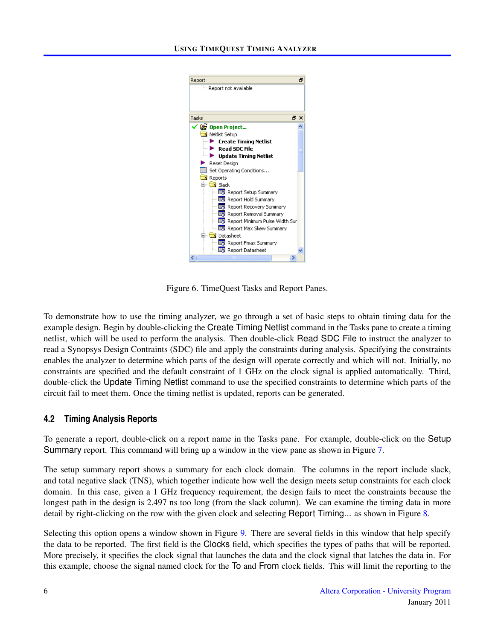

Figure 6. TimeQuest Tasks and Report Panes.

<span id="page-5-0"></span>To demonstrate how to use the timing analyzer, we go through a set of basic steps to obtain timing data for the example design. Begin by double-clicking the Create Timing Netlist command in the Tasks pane to create a timing netlist, which will be used to perform the analysis. Then double-click Read SDC File to instruct the analyzer to read a Synopsys Design Contraints (SDC) file and apply the constraints during analysis. Specifying the constraints enables the analyzer to determine which parts of the design will operate correctly and which will not. Initially, no constraints are specified and the default constraint of 1 GHz on the clock signal is applied automatically. Third, double-click the Update Timing Netlist command to use the specified constraints to determine which parts of the circuit fail to meet them. Once the timing netlist is updated, reports can be generated.

#### **4.2 Timing Analysis Reports**

To generate a report, double-click on a report name in the Tasks pane. For example, double-click on the Setup Summary report. This command will bring up a window in the view pane as shown in Figure [7.](#page-6-0)

The setup summary report shows a summary for each clock domain. The columns in the report include slack, and total negative slack (TNS), which together indicate how well the design meets setup constraints for each clock domain. In this case, given a 1 GHz frequency requirement, the design fails to meet the constraints because the longest path in the design is 2.497 ns too long (from the slack column). We can examine the timing data in more detail by right-clicking on the row with the given clock and selecting Report Timing... as shown in Figure [8.](#page-6-1)

Selecting this option opens a window shown in Figure [9.](#page-7-0) There are several fields in this window that help specify the data to be reported. The first field is the Clocks field, which specifies the types of paths that will be reported. More precisely, it specifies the clock signal that launches the data and the clock signal that latches the data in. For this example, choose the signal named clock for the To and From clock fields. This will limit the reporting to the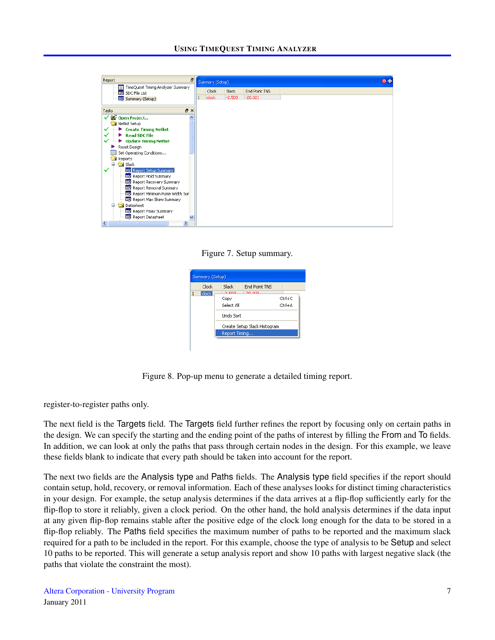

<span id="page-6-0"></span>Figure 7. Setup summary.

| Summary (Setup) |                    |                              |               |        |  |
|-----------------|--------------------|------------------------------|---------------|--------|--|
|                 | Clock              | Slack                        | End Point TNS |        |  |
| $\mathbf{1}$    | clock <sup>1</sup> | o poo                        | 20, 221       |        |  |
|                 |                    | Copy                         |               | Ctrl+C |  |
|                 |                    | Select All                   |               | Ctrl+A |  |
|                 |                    | <b>Lindo Sort</b>            |               |        |  |
|                 |                    | Create Setup Slack Histogram |               |        |  |
|                 |                    | Report Timing                |               |        |  |

<span id="page-6-1"></span>Figure 8. Pop-up menu to generate a detailed timing report.

register-to-register paths only.

The next field is the Targets field. The Targets field further refines the report by focusing only on certain paths in the design. We can specify the starting and the ending point of the paths of interest by filling the From and To fields. In addition, we can look at only the paths that pass through certain nodes in the design. For this example, we leave these fields blank to indicate that every path should be taken into account for the report.

The next two fields are the Analysis type and Paths fields. The Analysis type field specifies if the report should contain setup, hold, recovery, or removal information. Each of these analyses looks for distinct timing characteristics in your design. For example, the setup analysis determines if the data arrives at a flip-flop sufficiently early for the flip-flop to store it reliably, given a clock period. On the other hand, the hold analysis determines if the data input at any given flip-flop remains stable after the positive edge of the clock long enough for the data to be stored in a flip-flop reliably. The Paths field specifies the maximum number of paths to be reported and the maximum slack required for a path to be included in the report. For this example, choose the type of analysis to be Setup and select 10 paths to be reported. This will generate a setup analysis report and show 10 paths with largest negative slack (the paths that violate the constraint the most).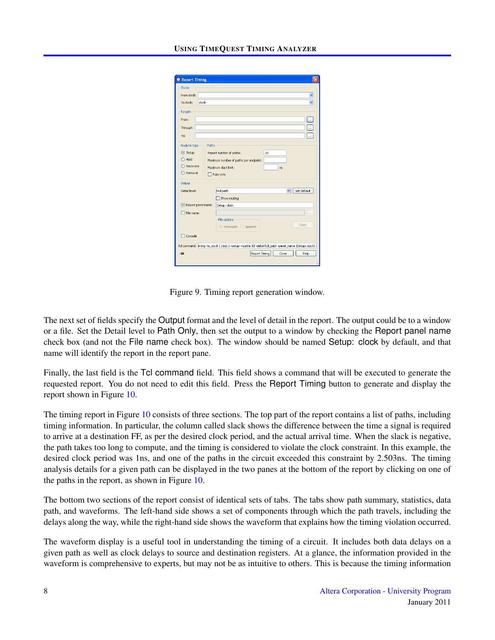| <b>B</b> Report Timing                                                                  |                                                                                                                                        |  |  |  |  |  |  |
|-----------------------------------------------------------------------------------------|----------------------------------------------------------------------------------------------------------------------------------------|--|--|--|--|--|--|
| Clocks<br>From clock:                                                                   |                                                                                                                                        |  |  |  |  |  |  |
| To clock:<br>clock                                                                      | Ÿ                                                                                                                                      |  |  |  |  |  |  |
| Targets<br>From:                                                                        | $\ddot{\phantom{a}}$                                                                                                                   |  |  |  |  |  |  |
| Through:<br>To:                                                                         | <br>$\ddot{\phantom{a}}$                                                                                                               |  |  |  |  |  |  |
| Paths<br>Analysis type<br>⊙ Setup<br>$\bigcirc$ Hold<br>◯ Recovery<br>$\bigcap$ Removal | Report number of paths:<br>10<br>Maximum number of paths per endpoint:<br>Maximum slack limit:<br>ns.<br>Pairs only                    |  |  |  |  |  |  |
| Output<br>Dehall level:                                                                 | Set Default<br>Full path<br>$\checkmark$<br>Show routing                                                                               |  |  |  |  |  |  |
| Report panel name:<br>File name:                                                        | Setup: clock<br>.                                                                                                                      |  |  |  |  |  |  |
|                                                                                         | File options<br>Open<br>O Overwrite Append                                                                                             |  |  |  |  |  |  |
| Console                                                                                 |                                                                                                                                        |  |  |  |  |  |  |
| $-629$                                                                                  | Td command: iming -to_clock { clock } -setup -npaths 10 -detail full_path -panel_name {Setup: clock}<br>Report Timing<br>Close<br>Help |  |  |  |  |  |  |

<span id="page-7-0"></span>Figure 9. Timing report generation window.

The next set of fields specify the Output format and the level of detail in the report. The output could be to a window or a file. Set the Detail level to Path Only, then set the output to a window by checking the Report panel name check box (and not the File name check box). The window should be named Setup: clock by default, and that name will identify the report in the report pane.

Finally, the last field is the Tcl command field. This field shows a command that will be executed to generate the requested report. You do not need to edit this field. Press the Report Timing button to generate and display the report shown in Figure [10.](#page-8-0)

The timing report in Figure [10](#page-8-0) consists of three sections. The top part of the report contains a list of paths, including timing information. In particular, the column called slack shows the difference between the time a signal is required to arrive at a destination FF, as per the desired clock period, and the actual arrival time. When the slack is negative, the path takes too long to compute, and the timing is considered to violate the clock constraint. In this example, the desired clock period was 1ns, and one of the paths in the circuit exceeded this constraint by 2.503ns. The timing analysis details for a given path can be displayed in the two panes at the bottom of the report by clicking on one of the paths in the report, as shown in Figure [10.](#page-8-0)

The bottom two sections of the report consist of identical sets of tabs. The tabs show path summary, statistics, data path, and waveforms. The left-hand side shows a set of components through which the path travels, including the delays along the way, while the right-hand side shows the waveform that explains how the timing violation occurred.

The waveform display is a useful tool in understanding the timing of a circuit. It includes both data delays on a given path as well as clock delays to source and destination registers. At a glance, the information provided in the waveform is comprehensive to experts, but may not be as intuitive to others. This is because the timing information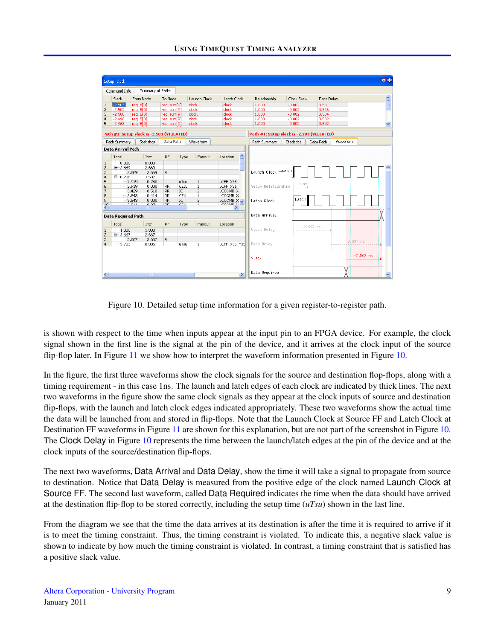| Setup: clock                        |                                           |                   |                        |            |                                |                       |                                           |                   |                       | $0 +$                   |
|-------------------------------------|-------------------------------------------|-------------------|------------------------|------------|--------------------------------|-----------------------|-------------------------------------------|-------------------|-----------------------|-------------------------|
| Command Info                        |                                           | Summary of Paths  |                        |            |                                |                       |                                           |                   |                       |                         |
| Slack                               | From Node                                 |                   | To Node                |            | Launch Clock                   | Latch Clock           | Relationship                              | Clock Skew        | Data Delay            | 스                       |
| $-2,503$<br>1                       | rea B[0]                                  |                   | rea_sum[9]             |            | clock                          | clock                 | 1.000                                     | $-0.002$          | 3.537                 | E                       |
| $\overline{\mathbf{c}}$<br>$-2.502$ | reg B[0]                                  |                   | reg_sum[9]             |            | clock                          | clock                 | 1,000                                     | $-0.002$          | 3.536                 |                         |
| $-2,500$<br>3                       | rea B[0]                                  |                   | req sum[9]             |            | clock                          | clock                 | 1.000                                     | $-0.002$          | 3.534                 |                         |
| $\overline{4}$<br>$-2.498$          | reg B[0]                                  |                   | reg_sum[9]             |            | clock                          | clock                 | 1,000                                     | $-0.002$          | 3.532                 |                         |
| 5<br>$-2,468$                       | reg B[0]                                  |                   | rea sum[9]             |            | clock                          | clock                 | 1,000                                     | $-0.002$          | 3.502                 | $\overline{\mathbf{v}}$ |
|                                     | Path #1: Setup slack is -2.503 (VIOLATED) |                   |                        |            |                                |                       | Path #1: Setup slack is -2.503 (VIOLATED) |                   |                       |                         |
| Path Summary                        |                                           | <b>Statistics</b> | Data Path              |            | <b>Waveform</b>                |                       | Path Summary                              | <b>Statistics</b> | Waveform<br>Data Path |                         |
| Data Arrival Path                   |                                           |                   |                        |            |                                |                       |                                           |                   |                       |                         |
|                                     |                                           |                   |                        |            |                                |                       |                                           |                   |                       |                         |
| Total                               |                                           | Incr              | <b>RF</b>              | Type       | Fanout                         | ۸<br>Location         |                                           |                   |                       |                         |
| $\mathbf{1}$                        | 0.000                                     | 0.000             |                        |            |                                |                       |                                           |                   |                       |                         |
| $\overline{c}$<br>$-2.669$          |                                           | 2.669             |                        |            |                                |                       |                                           |                   |                       |                         |
| 3                                   | 2.669                                     | 2.669             | R.                     |            |                                |                       | Launch Clock Launch                       |                   |                       |                         |
| $\overline{\mathbf{4}}$<br>■ 6.206  |                                           | 3.537             |                        |            |                                |                       |                                           |                   |                       |                         |
| 5                                   | 2.919                                     | 0.250             |                        | uTco       | $\mathbf{1}$                   | LCFF X36              |                                           | $1.0$ ns          |                       |                         |
| 6<br>$\overline{7}$                 | 2.919<br>3.429                            | 0.000<br>0.510    | <b>RR</b><br><b>RR</b> | CELL<br>IC | $\mathbf{1}$<br>$\overline{c}$ | LCFF X36<br>LCCOMB X: | Setup Relationship                        |                   |                       |                         |
| 8                                   | 3.843                                     | 0.414             | <b>RR</b>              | CELL       | $\mathbf{1}$                   | LCCOMB X:             |                                           |                   |                       |                         |
| 9                                   | 3.843                                     | 0.000             | RR.                    | IC         | $\overline{\mathbf{c}}$        | LCCOMB X              | Latch Clock                               | Latch             |                       |                         |
| $\overline{10}$                     | 0.014                                     | 0.021             | n=                     | 2001       | $\bullet$                      | LCCAMB V-             |                                           |                   |                       |                         |
| $\left\langle \right\rangle$        |                                           | III.              |                        |            |                                | ×.                    |                                           |                   |                       |                         |
|                                     | <b>Data Required Path</b>                 |                   |                        |            |                                |                       | Data Arrival                              |                   |                       |                         |
| Total                               |                                           | Incr              | <b>RF</b>              | Type       | Fanout                         | Location              |                                           |                   |                       |                         |
| $-1.000$<br>$\mathbf{1}$            |                                           | 1.000             |                        |            |                                |                       | Clock Delay                               | 2.669 ns          |                       |                         |
| $\overline{c}$<br>■ 3.667           |                                           | 2.667             |                        |            |                                |                       |                                           |                   |                       |                         |
| 3                                   | 3.667                                     | 2.667             | R.                     |            |                                |                       |                                           |                   |                       | 31537 ns                |
| $\overline{4}$                      | 3.703                                     | 0.036             |                        | uTsu       | 1                              | LCFF X35 Y33          | Data Delay                                |                   |                       |                         |
|                                     |                                           |                   |                        |            |                                |                       |                                           |                   |                       |                         |
|                                     |                                           |                   |                        |            |                                |                       | Slack                                     |                   |                       | $-2,503$ ns             |
|                                     |                                           |                   |                        |            |                                |                       |                                           |                   |                       |                         |
|                                     |                                           |                   |                        |            |                                |                       |                                           |                   |                       |                         |
| $\leq$                              |                                           | IIII.             |                        |            |                                | $\rightarrow$         | Data Required                             |                   |                       |                         |

<span id="page-8-0"></span>Figure 10. Detailed setup time information for a given register-to-register path.

is shown with respect to the time when inputs appear at the input pin to an FPGA device. For example, the clock signal shown in the first line is the signal at the pin of the device, and it arrives at the clock input of the source flip-flop later. In Figure [11](#page-9-0) we show how to interpret the waveform information presented in Figure [10.](#page-8-0)

In the figure, the first three waveforms show the clock signals for the source and destination flop-flops, along with a timing requirement - in this case 1ns. The launch and latch edges of each clock are indicated by thick lines. The next two waveforms in the figure show the same clock signals as they appear at the clock inputs of source and destination flip-flops, with the launch and latch clock edges indicated appropriately. These two waveforms show the actual time the data will be launched from and stored in flip-flops. Note that the Launch Clock at Source FF and Latch Clock at Destination FF waveforms in Figure [11](#page-9-0) are shown for this explanation, but are not part of the screenshot in Figure [10.](#page-8-0) The Clock Delay in Figure [10](#page-8-0) represents the time between the launch/latch edges at the pin of the device and at the clock inputs of the source/destination flip-flops.

The next two waveforms, Data Arrival and Data Delay, show the time it will take a signal to propagate from source to destination. Notice that Data Delay is measured from the positive edge of the clock named Launch Clock at Source FF. The second last waveform, called Data Required indicates the time when the data should have arrived at the destination flip-flop to be stored correctly, including the setup time (*uTsu*) shown in the last line.

From the diagram we see that the time the data arrives at its destination is after the time it is required to arrive if it is to meet the timing constraint. Thus, the timing constraint is violated. To indicate this, a negative slack value is shown to indicate by how much the timing constraint is violated. In contrast, a timing constraint that is satisfied has a positive slack value.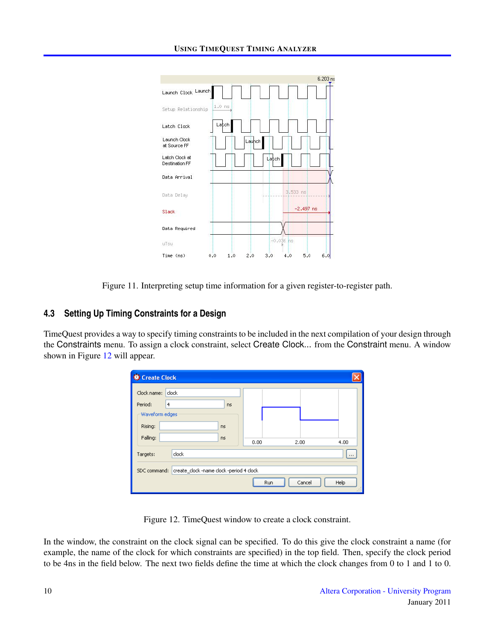

<span id="page-9-0"></span>Figure 11. Interpreting setup time information for a given register-to-register path.

### **4.3 Setting Up Timing Constraints for a Design**

TimeQuest provides a way to specify timing constraints to be included in the next compilation of your design through the Constraints menu. To assign a clock constraint, select Create Clock... from the Constraint menu. A window shown in Figure [12](#page-9-1) will appear.

| Create Clock                                             |                |           |      |     |        |               |
|----------------------------------------------------------|----------------|-----------|------|-----|--------|---------------|
| Clock name:                                              | clock          |           |      |     |        |               |
| Period:                                                  | $\overline{4}$ | <b>ns</b> |      |     |        |               |
| Waveform edges                                           |                |           |      |     |        |               |
| Rising:                                                  | <b>ns</b>      |           |      |     |        |               |
| Falling:                                                 | ns             |           | 0.00 |     | 2.00   | 4.00          |
| Targets:                                                 | clock          |           |      |     |        |               |
| create_clock -name clock -period 4 clock<br>SDC command: |                |           |      |     |        |               |
|                                                          |                |           |      | Run | Cancel | Help<br>$-11$ |

<span id="page-9-1"></span>Figure 12. TimeQuest window to create a clock constraint.

In the window, the constraint on the clock signal can be specified. To do this give the clock constraint a name (for example, the name of the clock for which constraints are specified) in the top field. Then, specify the clock period to be 4ns in the field below. The next two fields define the time at which the clock changes from 0 to 1 and 1 to 0.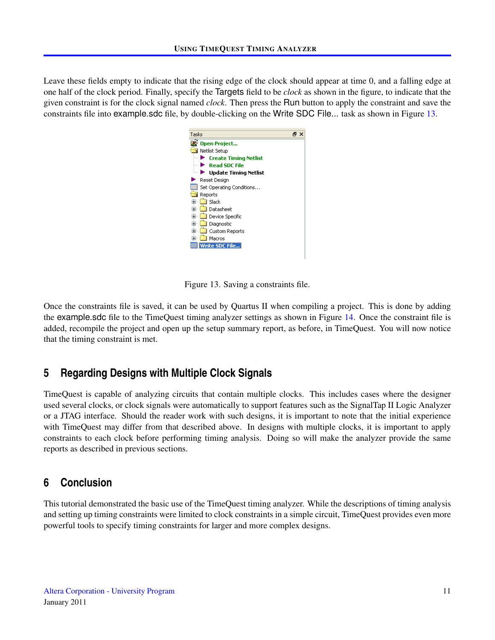Leave these fields empty to indicate that the rising edge of the clock should appear at time 0, and a falling edge at one half of the clock period. Finally, specify the Targets field to be *clock* as shown in the figure, to indicate that the given constraint is for the clock signal named *clock*. Then press the Run button to apply the constraint and save the constraints file into example.sdc file, by double-clicking on the Write SDC File... task as shown in Figure [13.](#page-10-0)

<span id="page-10-0"></span>

Figure 13. Saving a constraints file.

Once the constraints file is saved, it can be used by Quartus II when compiling a project. This is done by adding the example.sdc file to the TimeQuest timing analyzer settings as shown in Figure [14.](#page-11-0) Once the constraint file is added, recompile the project and open up the setup summary report, as before, in TimeQuest. You will now notice that the timing constraint is met.

### **5 Regarding Designs with Multiple Clock Signals**

TimeQuest is capable of analyzing circuits that contain multiple clocks. This includes cases where the designer used several clocks, or clock signals were automatically to support features such as the SignalTap II Logic Analyzer or a JTAG interface. Should the reader work with such designs, it is important to note that the initial experience with TimeQuest may differ from that described above. In designs with multiple clocks, it is important to apply constraints to each clock before performing timing analysis. Doing so will make the analyzer provide the same reports as described in previous sections.

### **6 Conclusion**

This tutorial demonstrated the basic use of the TimeQuest timing analyzer. While the descriptions of timing analysis and setting up timing constraints were limited to clock constraints in a simple circuit, TimeQuest provides even more powerful tools to specify timing constraints for larger and more complex designs.